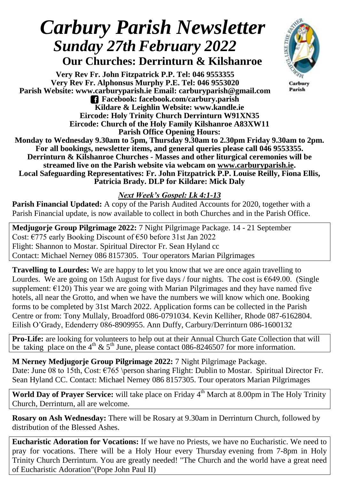# *Carbury Parish Newsletter Sunday 27thFebruary 2022*  **Our Churches: Derrinturn & Kilshanroe**

**Very Rev Fr. John Fitzpatrick P.P. Tel: 046 9553355 Very Rev Fr. Alphonsus Murphy P.E. Tel: 046 9553020 Parish Website: www.carburyparish.ie Email: carburyparish@gmail.com Facebook: facebook.com/carbury.parish Kildare & Leighlin Website: www.kandle.ie Eircode: Holy Trinity Church Derrinturn W91XN35 Eircode: Church of the Holy Family Kilshanroe A83XW11 Parish Office Opening Hours:**



**Monday to Wednesday 9.30am to 5pm, Thursday 9.30am to 2.30pm Friday 9.30am to 2pm. For all bookings, newsletter items, and general queries please call 046 9553355. Derrinturn & Kilshanroe Churches - Masses and other liturgical ceremonies will be streamed live on the Parish website via webcam on [www.carburyparish.ie.](http://www.carburyparish.ie/) Local Safeguarding Representatives: Fr. John Fitzpatrick P.P. Louise Reilly, Fiona Ellis, Patricia Brady. DLP for Kildare: Mick Daly**

## *Next Week's Gospel: Lk 4:1-13*

**Parish Financial Updated:** A copy of the Parish Audited Accounts for 2020, together with a Parish Financial update, is now available to collect in both Churches and in the Parish Office.

**Medjugorje Group Pilgrimage 2022:** 7 Night Pilgrimage Package. 14 - 21 September Cost: €775 early Booking Discount of €50 before 31st Jan 2022 Flight: Shannon to Mostar. Spiritual Director Fr. Sean Hyland cc Contact: Michael Nerney 086 8157305. Tour operators Marian Pilgrimages

**Travelling to Lourdes:** We are happy to let you know that we are once again travelling to Lourdes. We are going on 15th August for five days / four nights. The cost is  $\epsilon$ 649.00. (Single supplement:  $E(120)$  This year we are going with Marian Pilgrimages and they have named five hotels, all near the Grotto, and when we have the numbers we will know which one. Booking forms to be completed by 31st March 2022. Application forms can be collected in the Parish Centre or from: Tony Mullaly, Broadford 086-0791034. Kevin Kelliher, Rhode 087-6162804. Eilish O'Grady, Edenderry 086-8909955. Ann Duffy, Carbury/Derrinturn 086-1600132

**Pro-Life:** are looking for volunteers to help out at their Annual Church Gate Collection that will be taking place on the 4<sup>th</sup> & 5<sup>th</sup> June, please contact 086-8246507 for more information.

**M Nerney Medjugorje Group Pilgrimage 2022:** 7 Night Pilgrimage Package. Date: June 08 to 15th, Cost:  $\epsilon$ 765 \person sharing Flight: Dublin to Mostar. Spiritual Director Fr. Sean Hyland CC. Contact: Michael Nerney 086 8157305. Tour operators Marian Pilgrimages

World Day of Prayer Service: will take place on Friday 4<sup>th</sup> March at 8.00pm in The Holy Trinity Church, Derrinturn, all are welcome.

**Rosary on Ash Wednesday:** There will be Rosary at 9.30am in Derrinturn Church, followed by distribution of the Blessed Ashes.

**Eucharistic Adoration for Vocations:** If we have no Priests, we have no Eucharistic. We need to pray for vocations. There will be a Holy Hour every Thursday evening from 7-8pm in Holy Trinity Church Derrinturn. You are greatly needed! "The Church and the world have a great need of Eucharistic Adoration"(Pope John Paul II)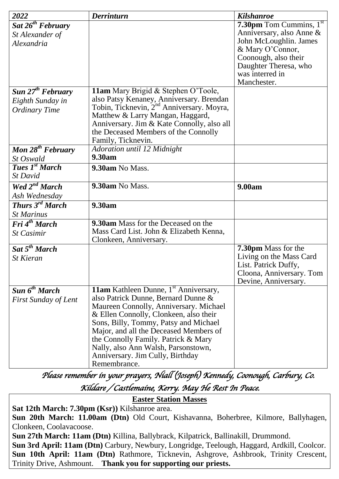| 2022                               | <b>Derrinturn</b>                                                       | <b>Kilshanroe</b>                                     |
|------------------------------------|-------------------------------------------------------------------------|-------------------------------------------------------|
| Sat $26^{th}$ February             |                                                                         | 7.30pm Tom $\overline{\text{Cummins, 1}^{\text{st}}}$ |
| St Alexander of                    |                                                                         | Anniversary, also Anne &                              |
| <i>Alexandria</i>                  |                                                                         | John McLoughlin. James                                |
|                                    |                                                                         | & Mary O'Connor,                                      |
|                                    |                                                                         | Coonough, also their<br>Daughter Theresa, who         |
|                                    |                                                                         | was interred in                                       |
|                                    |                                                                         | Manchester.                                           |
| Sun $27th$ February                | 11am Mary Brigid & Stephen O'Toole,                                     |                                                       |
| Eighth Sunday in                   | also Patsy Kenaney, Anniversary. Brendan                                |                                                       |
| <b>Ordinary Time</b>               | Tobin, Ticknevin, 2 <sup>nd</sup> Anniversary. Moyra,                   |                                                       |
|                                    | Matthew & Larry Mangan, Haggard,                                        |                                                       |
|                                    | Anniversary. Jim & Kate Connolly, also all                              |                                                       |
|                                    | the Deceased Members of the Connolly                                    |                                                       |
| Mon $28th$ February                | Family, Ticknevin.<br>Adoration until 12 Midnight                       |                                                       |
| St Oswald                          | 9.30am                                                                  |                                                       |
| <b>Tues 1st March</b>              | 9.30am No Mass.                                                         |                                                       |
| St David                           |                                                                         |                                                       |
| Wed $2^{nd}$ March                 | 9.30am No Mass.                                                         | 9.00am                                                |
| Ash Wednesday                      |                                                                         |                                                       |
| <b>Thurs</b> $3^{rd}$ <b>March</b> | 9.30am                                                                  |                                                       |
| <b>St Marinus</b>                  |                                                                         |                                                       |
| Fri 4 <sup>th</sup> March          | 9.30am Mass for the Deceased on the                                     |                                                       |
| <b>St Casimir</b>                  | Mass Card List. John & Elizabeth Kenna,                                 |                                                       |
|                                    | Clonkeen, Anniversary.                                                  |                                                       |
| Sat $5^{th}$ March                 |                                                                         | 7.30pm Mass for the                                   |
| <b>St Kieran</b>                   |                                                                         | Living on the Mass Card<br>List. Patrick Duffy,       |
|                                    |                                                                         | Cloona, Anniversary. Tom                              |
|                                    |                                                                         | Devine, Anniversary.                                  |
| Sun 6 <sup>th</sup> March          | <b>11am</b> Kathleen Dunne, 1 <sup>st</sup> Anniversary,                |                                                       |
| <b>First Sunday of Lent</b>        | also Patrick Dunne, Bernard Dunne &                                     |                                                       |
|                                    | Maureen Connolly, Anniversary. Michael                                  |                                                       |
|                                    | & Ellen Connolly, Clonkeen, also their                                  |                                                       |
|                                    | Sons, Billy, Tommy, Patsy and Michael                                   |                                                       |
|                                    | Major, and all the Deceased Members of                                  |                                                       |
|                                    | the Connolly Family. Patrick & Mary                                     |                                                       |
|                                    | Nally, also Ann Walsh, Parsonstown,<br>Anniversary. Jim Cully, Birthday |                                                       |
|                                    | Remembrance.                                                            |                                                       |

*Please remember in your prayers, Niall (Joseph) Kennedy, Coonough, Carbury, Co. Kildare / Castlemaine, Kerry. May He Rest In Peace.* 

**Easter Station Masses**

**Sat 12th March: 7.30pm (Ksr))** Kilshanroe area. **Sun 20th March: 11.00am (Dtn)** Old Court, Kishavanna, Boherbree, Kilmore, Ballyhagen, Clonkeen, Coolavacoose. **Sun 27th March: 11am (Dtn)** Killina, Ballybrack, Kilpatrick, Ballinakill, Drummond. **Sun 3rd April: 11am (Dtn)** Carbury, Newbury, Longridge, Teelough, Haggard, Ardkill, Coolcor. **Sun 10th April: 11am (Dtn)** Rathmore, Ticknevin, Ashgrove, Ashbrook, Trinity Crescent,

Trinity Drive, Ashmount. **Thank you for supporting our priests.**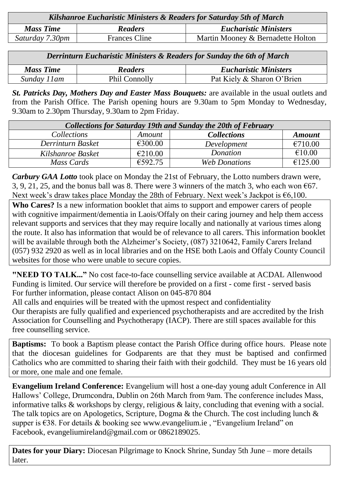| Kilshanroe Eucharistic Ministers & Readers for Saturday 5th of March |                      |                                   |  |  |
|----------------------------------------------------------------------|----------------------|-----------------------------------|--|--|
| <b>Mass Time</b>                                                     | <b>Readers</b>       | <b>Eucharistic Ministers</b>      |  |  |
| Saturday 7.30pm                                                      | <b>Frances Cline</b> | Martin Mooney & Bernadette Holton |  |  |

| <b>Derrinturn Eucharistic Ministers &amp; Readers for Sunday the 6th of March</b> |                      |                              |  |  |
|-----------------------------------------------------------------------------------|----------------------|------------------------------|--|--|
| <b>Mass Time</b>                                                                  | <b>Readers</b>       | <b>Eucharistic Ministers</b> |  |  |
| Sunday 11am                                                                       | <b>Phil Connolly</b> | Pat Kiely & Sharon O'Brien   |  |  |

*St. Patricks Day, Mothers Day and Easter Mass Bouquets:* are available in the usual outlets and from the Parish Office. The Parish opening hours are 9.30am to 5pm Monday to Wednesday, 9.30am to 2.30pm Thursday, 9.30am to 2pm Friday.

| <b>Collections for Saturday 19th and Sunday the 20th of February</b> |               |                      |               |  |  |  |
|----------------------------------------------------------------------|---------------|----------------------|---------------|--|--|--|
| <i>Collections</i>                                                   | <i>Amount</i> | <b>Collections</b>   | <b>Amount</b> |  |  |  |
| Derrinturn Basket                                                    | €300.00       | Development          | €710.00       |  |  |  |
| Kilshanroe Basket                                                    | €210.00       | Donation             | €10.00        |  |  |  |
| Mass Cards                                                           | €592.75       | <b>Web Donations</b> | €125.00       |  |  |  |

*Carbury GAA Lotto* took place on Monday the 21st of February, the Lotto numbers drawn were, 3, 9, 21, 25, and the bonus ball was 8. There were 3 winners of the match 3, who each won  $\epsilon$ 67. Next week's draw takes place Monday the 28th of February. Next week's Jackpot is  $\epsilon$ 6,100.

**Who Cares?** Is a new information booklet that aims to support and empower carers of people with cognitive impairment/dementia in Laois/Offaly on their caring journey and help them access relevant supports and services that they may require locally and nationally at various times along the route. It also has information that would be of relevance to all carers. This information booklet will be available through both the Alzheimer's Society, (087) 3210642, Family Carers Ireland (057) 932 2920 as well as in local libraries and on the HSE both Laois and Offaly County Council websites for those who were unable to secure copies.

**"NEED TO TALK..."** No cost face-to-face counselling service available at ACDAL Allenwood Funding is limited. Our service will therefore be provided on a first - come first - served basis For further information, please contact Alison on 045-870 804

All calls and enquiries will be treated with the upmost respect and confidentiality

Our therapists are fully qualified and experienced psychotherapists and are accredited by the Irish Association for Counselling and Psychotherapy (IACP). There are still spaces available for this free counselling service.

**Baptisms:** To book a Baptism please contact the Parish Office during office hours. Please note that the diocesan guidelines for Godparents are that they must be baptised and confirmed Catholics who are committed to sharing their faith with their godchild. They must be 16 years old or more, one male and one female.

**Evangelium Ireland Conference:** Evangelium will host a one-day young adult Conference in All Hallows' College, Drumcondra, Dublin on 26th March from 9am. The conference includes Mass, informative talks & workshops by clergy, religious & laity, concluding that evening with a social. The talk topics are on Apologetics, Scripture, Dogma & the Church. The cost including lunch & supper is €38. For details & booking see [www.evangelium.ie](http://www.evangelium.ie/) , "Evangelium Ireland" on Facebook, [evangeliumireland@gmail.com](mailto:evangeliumireland@gmail.com) or 0862189025.

**Dates for your Diary:** Diocesan Pilgrimage to Knock Shrine, Sunday 5th June – more details later.